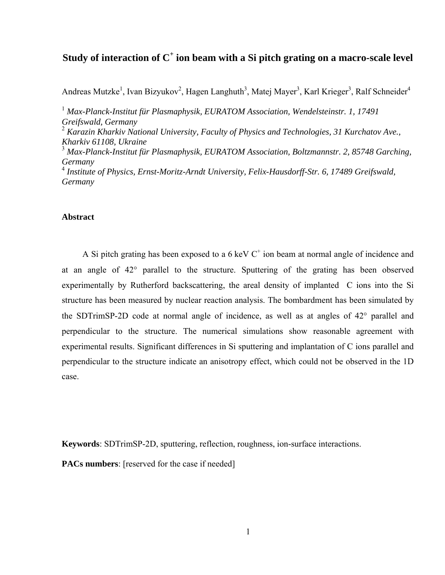# **Study of interaction of C<sup>+</sup> ion beam with a Si pitch grating on a macro-scale level**

Andreas Mutzke<sup>1</sup>, Ivan Bizyukov<sup>2</sup>, Hagen Langhuth<sup>3</sup>, Matej Mayer<sup>3</sup>, Karl Krieger<sup>3</sup>, Ralf Schneider<sup>4</sup>

<sup>1</sup> Max-Planck-Institut für Plasmaphysik, EURATOM Association, Wendelsteinstr. 1, 17491 *Greifswald, Germany*  2  *Karazin Kharkiv National University, Faculty of Physics and Technologies, 31 Kurchatov Ave., Kharkiv 61108, Ukraine*  3  *Max-Planck-Institut für Plasmaphysik, EURATOM Association, Boltzmannstr. 2, 85748 Garching, Germany*  4  *Institute of Physics, Ernst-Moritz-Arndt University, Felix-Hausdorff-Str. 6, 17489 Greifswald, Germany* 

# **Abstract**

A Si pitch grating has been exposed to a  $6 \text{ keV C}^+$  ion beam at normal angle of incidence and at an angle of 42° parallel to the structure. Sputtering of the grating has been observed experimentally by Rutherford backscattering, the areal density of implanted C ions into the Si structure has been measured by nuclear reaction analysis. The bombardment has been simulated by the SDTrimSP-2D code at normal angle of incidence, as well as at angles of 42° parallel and perpendicular to the structure. The numerical simulations show reasonable agreement with experimental results. Significant differences in Si sputtering and implantation of C ions parallel and perpendicular to the structure indicate an anisotropy effect, which could not be observed in the 1D case.

**Keywords**: SDTrimSP-2D, sputtering, reflection, roughness, ion-surface interactions.

**PACs numbers**: [reserved for the case if needed]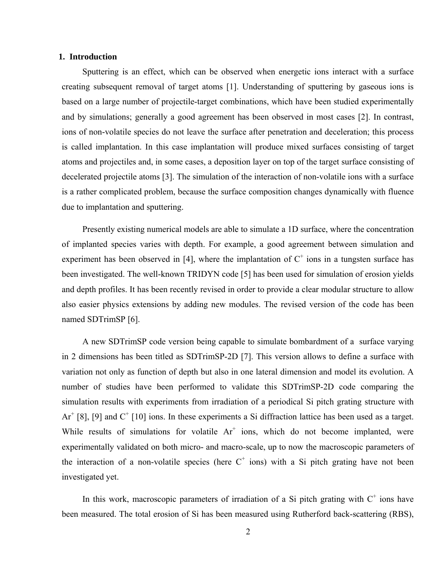### **1. Introduction**

Sputtering is an effect, which can be observed when energetic ions interact with a surface creating subsequent removal of target atoms [1]. Understanding of sputtering by gaseous ions is based on a large number of projectile-target combinations, which have been studied experimentally and by simulations; generally a good agreement has been observed in most cases [2]. In contrast, ions of non-volatile species do not leave the surface after penetration and deceleration; this process is called implantation. In this case implantation will produce mixed surfaces consisting of target atoms and projectiles and, in some cases, a deposition layer on top of the target surface consisting of decelerated projectile atoms [3]. The simulation of the interaction of non-volatile ions with a surface is a rather complicated problem, because the surface composition changes dynamically with fluence due to implantation and sputtering.

Presently existing numerical models are able to simulate a 1D surface, where the concentration of implanted species varies with depth. For example, a good agreement between simulation and experiment has been observed in [4], where the implantation of  $C^+$  ions in a tungsten surface has been investigated. The well-known TRIDYN code [5] has been used for simulation of erosion yields and depth profiles. It has been recently revised in order to provide a clear modular structure to allow also easier physics extensions by adding new modules. The revised version of the code has been named SDTrimSP [6].

A new SDTrimSP code version being capable to simulate bombardment of a surface varying in 2 dimensions has been titled as SDTrimSP-2D [7]. This version allows to define a surface with variation not only as function of depth but also in one lateral dimension and model its evolution. A number of studies have been performed to validate this SDTrimSP-2D code comparing the simulation results with experiments from irradiation of a periodical Si pitch grating structure with  $Ar^+$  [8], [9] and  $C^+$  [10] ions. In these experiments a Si diffraction lattice has been used as a target. While results of simulations for volatile  $Ar^+$  ions, which do not become implanted, were experimentally validated on both micro- and macro-scale, up to now the macroscopic parameters of the interaction of a non-volatile species (here  $C^+$  ions) with a Si pitch grating have not been investigated yet.

In this work, macroscopic parameters of irradiation of a Si pitch grating with  $C^+$  ions have been measured. The total erosion of Si has been measured using Rutherford back-scattering (RBS),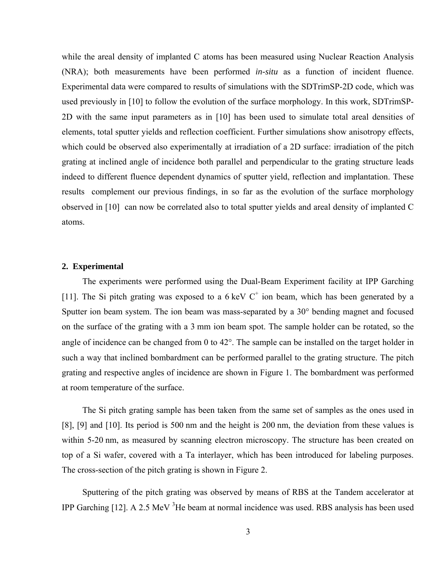while the areal density of implanted C atoms has been measured using Nuclear Reaction Analysis (NRA); both measurements have been performed *in-situ* as a function of incident fluence. Experimental data were compared to results of simulations with the SDTrimSP-2D code, which was used previously in [10] to follow the evolution of the surface morphology. In this work, SDTrimSP-2D with the same input parameters as in [10] has been used to simulate total areal densities of elements, total sputter yields and reflection coefficient. Further simulations show anisotropy effects, which could be observed also experimentally at irradiation of a 2D surface: irradiation of the pitch grating at inclined angle of incidence both parallel and perpendicular to the grating structure leads indeed to different fluence dependent dynamics of sputter yield, reflection and implantation. These results complement our previous findings, in so far as the evolution of the surface morphology observed in [10] can now be correlated also to total sputter yields and areal density of implanted C atoms.

## **2. Experimental**

The experiments were performed using the Dual-Beam Experiment facility at IPP Garching [11]. The Si pitch grating was exposed to a  $6 \text{ keV C}^+$  ion beam, which has been generated by a Sputter ion beam system. The ion beam was mass-separated by a 30° bending magnet and focused on the surface of the grating with a 3 mm ion beam spot. The sample holder can be rotated, so the angle of incidence can be changed from 0 to 42°. The sample can be installed on the target holder in such a way that inclined bombardment can be performed parallel to the grating structure. The pitch grating and respective angles of incidence are shown in [Figure 1.](#page-11-0) The bombardment was performed at room temperature of the surface.

The Si pitch grating sample has been taken from the same set of samples as the ones used in [8], [9] and [10]. Its period is 500 nm and the height is 200 nm, the deviation from these values is within 5-20 nm, as measured by scanning electron microscopy. The structure has been created on top of a Si wafer, covered with a Ta interlayer, which has been introduced for labeling purposes. The cross-section of the pitch grating is shown in [Figure 2.](#page-11-1)

Sputtering of the pitch grating was observed by means of RBS at the Tandem accelerator at IPP Garching  $[12]$ . A 2.5 MeV  ${}^{3}$ He beam at normal incidence was used. RBS analysis has been used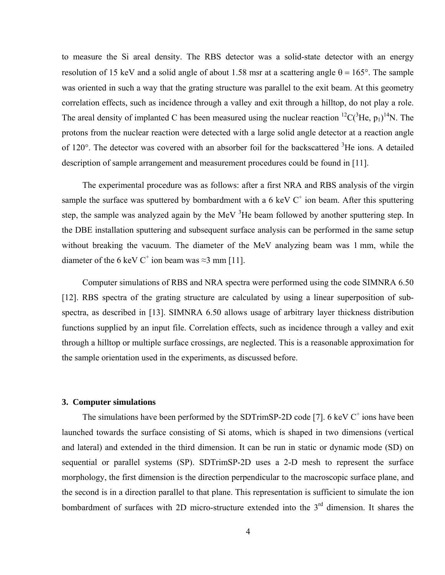to measure the Si areal density. The RBS detector was a solid-state detector with an energy resolution of 15 keV and a solid angle of about 1.58 msr at a scattering angle  $\theta = 165^{\circ}$ . The sample was oriented in such a way that the grating structure was parallel to the exit beam. At this geometry correlation effects, such as incidence through a valley and exit through a hilltop, do not play a role. The areal density of implanted C has been measured using the nuclear reaction  ${}^{12}C(^{3}He, p_1)^{14}N$ . The protons from the nuclear reaction were detected with a large solid angle detector at a reaction angle of 120°. The detector was covered with an absorber foil for the backscattered <sup>3</sup>He ions. A detailed description of sample arrangement and measurement procedures could be found in [11].

The experimental procedure was as follows: after a first NRA and RBS analysis of the virgin sample the surface was sputtered by bombardment with a 6 keV  $C^+$  ion beam. After this sputtering step, the sample was analyzed again by the MeV  ${}^{3}$ He beam followed by another sputtering step. In the DBE installation sputtering and subsequent surface analysis can be performed in the same setup without breaking the vacuum. The diameter of the MeV analyzing beam was 1 mm, while the diameter of the 6 keV C<sup>+</sup> ion beam was  $\approx$ 3 mm [11].

Computer simulations of RBS and NRA spectra were performed using the code SIMNRA 6.50 [12]. RBS spectra of the grating structure are calculated by using a linear superposition of subspectra, as described in [13]. SIMNRA 6.50 allows usage of arbitrary layer thickness distribution functions supplied by an input file. Correlation effects, such as incidence through a valley and exit through a hilltop or multiple surface crossings, are neglected. This is a reasonable approximation for the sample orientation used in the experiments, as discussed before.

#### **3. Computer simulations**

The simulations have been performed by the SDTrimSP-2D code [7].  $6 \text{ keV C}^+$  ions have been launched towards the surface consisting of Si atoms, which is shaped in two dimensions (vertical and lateral) and extended in the third dimension. It can be run in static or dynamic mode (SD) on sequential or parallel systems (SP). SDTrimSP-2D uses a 2-D mesh to represent the surface morphology, the first dimension is the direction perpendicular to the macroscopic surface plane, and the second is in a direction parallel to that plane. This representation is sufficient to simulate the ion bombardment of surfaces with 2D micro-structure extended into the 3<sup>rd</sup> dimension. It shares the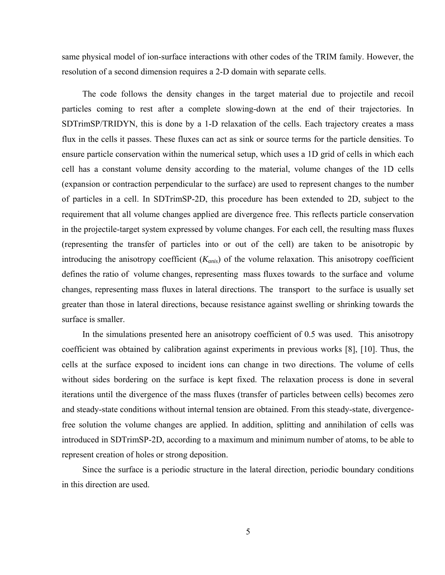same physical model of ion-surface interactions with other codes of the TRIM family. However, the resolution of a second dimension requires a 2-D domain with separate cells.

The code follows the density changes in the target material due to projectile and recoil particles coming to rest after a complete slowing-down at the end of their trajectories. In SDTrimSP/TRIDYN, this is done by a 1-D relaxation of the cells. Each trajectory creates a mass flux in the cells it passes. These fluxes can act as sink or source terms for the particle densities. To ensure particle conservation within the numerical setup, which uses a 1D grid of cells in which each cell has a constant volume density according to the material, volume changes of the 1D cells (expansion or contraction perpendicular to the surface) are used to represent changes to the number of particles in a cell. In SDTrimSP-2D, this procedure has been extended to 2D, subject to the requirement that all volume changes applied are divergence free. This reflects particle conservation in the projectile-target system expressed by volume changes. For each cell, the resulting mass fluxes (representing the transfer of particles into or out of the cell) are taken to be anisotropic by introducing the anisotropy coefficient (*Kanis*) of the volume relaxation. This anisotropy coefficient defines the ratio of volume changes, representing mass fluxes towards to the surface and volume changes, representing mass fluxes in lateral directions. The transport to the surface is usually set greater than those in lateral directions, because resistance against swelling or shrinking towards the surface is smaller.

In the simulations presented here an anisotropy coefficient of 0.5 was used. This anisotropy coefficient was obtained by calibration against experiments in previous works [8], [10]. Thus, the cells at the surface exposed to incident ions can change in two directions. The volume of cells without sides bordering on the surface is kept fixed. The relaxation process is done in several iterations until the divergence of the mass fluxes (transfer of particles between cells) becomes zero and steady-state conditions without internal tension are obtained. From this steady-state, divergencefree solution the volume changes are applied. In addition, splitting and annihilation of cells was introduced in SDTrimSP-2D, according to a maximum and minimum number of atoms, to be able to represent creation of holes or strong deposition.

Since the surface is a periodic structure in the lateral direction, periodic boundary conditions in this direction are used.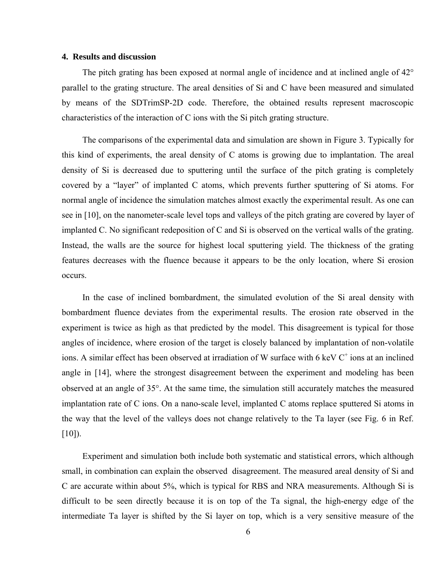#### **4. Results and discussion**

The pitch grating has been exposed at normal angle of incidence and at inclined angle of 42° parallel to the grating structure. The areal densities of Si and C have been measured and simulated by means of the SDTrimSP-2D code. Therefore, the obtained results represent macroscopic characteristics of the interaction of C ions with the Si pitch grating structure.

The comparisons of the experimental data and simulation are shown in [Figure 3](#page-11-2). Typically for this kind of experiments, the areal density of C atoms is growing due to implantation. The areal density of Si is decreased due to sputtering until the surface of the pitch grating is completely covered by a "layer" of implanted C atoms, which prevents further sputtering of Si atoms. For normal angle of incidence the simulation matches almost exactly the experimental result. As one can see in [10], on the nanometer-scale level tops and valleys of the pitch grating are covered by layer of implanted C. No significant redeposition of C and Si is observed on the vertical walls of the grating. Instead, the walls are the source for highest local sputtering yield. The thickness of the grating features decreases with the fluence because it appears to be the only location, where Si erosion occurs.

In the case of inclined bombardment, the simulated evolution of the Si areal density with bombardment fluence deviates from the experimental results. The erosion rate observed in the experiment is twice as high as that predicted by the model. This disagreement is typical for those angles of incidence, where erosion of the target is closely balanced by implantation of non-volatile ions. A similar effect has been observed at irradiation of W surface with 6 keV  $C^+$  ions at an inclined angle in [14], where the strongest disagreement between the experiment and modeling has been observed at an angle of 35°. At the same time, the simulation still accurately matches the measured implantation rate of C ions. On a nano-scale level, implanted C atoms replace sputtered Si atoms in the way that the level of the valleys does not change relatively to the Ta layer (see Fig. 6 in Ref.  $[10]$ ).

Experiment and simulation both include both systematic and statistical errors, which although small, in combination can explain the observed disagreement. The measured areal density of Si and C are accurate within about 5%, which is typical for RBS and NRA measurements. Although Si is difficult to be seen directly because it is on top of the Ta signal, the high-energy edge of the intermediate Ta layer is shifted by the Si layer on top, which is a very sensitive measure of the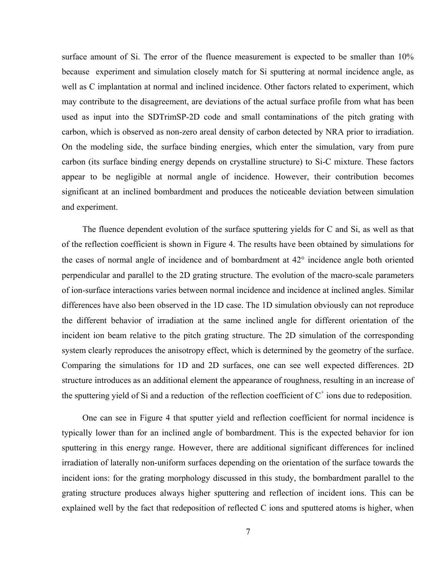surface amount of Si. The error of the fluence measurement is expected to be smaller than 10% because experiment and simulation closely match for Si sputtering at normal incidence angle, as well as C implantation at normal and inclined incidence. Other factors related to experiment, which may contribute to the disagreement, are deviations of the actual surface profile from what has been used as input into the SDTrimSP-2D code and small contaminations of the pitch grating with carbon, which is observed as non-zero areal density of carbon detected by NRA prior to irradiation. On the modeling side, the surface binding energies, which enter the simulation, vary from pure carbon (its surface binding energy depends on crystalline structure) to Si-C mixture. These factors appear to be negligible at normal angle of incidence. However, their contribution becomes significant at an inclined bombardment and produces the noticeable deviation between simulation and experiment.

The fluence dependent evolution of the surface sputtering yields for C and Si, as well as that of the reflection coefficient is shown in [Figure 4.](#page-11-3) The results have been obtained by simulations for the cases of normal angle of incidence and of bombardment at 42° incidence angle both oriented perpendicular and parallel to the 2D grating structure. The evolution of the macro-scale parameters of ion-surface interactions varies between normal incidence and incidence at inclined angles. Similar differences have also been observed in the 1D case. The 1D simulation obviously can not reproduce the different behavior of irradiation at the same inclined angle for different orientation of the incident ion beam relative to the pitch grating structure. The 2D simulation of the corresponding system clearly reproduces the anisotropy effect, which is determined by the geometry of the surface. Comparing the simulations for 1D and 2D surfaces, one can see well expected differences. 2D structure introduces as an additional element the appearance of roughness, resulting in an increase of the sputtering yield of Si and a reduction of the reflection coefficient of  $C^+$  ions due to redeposition.

One can see in [Figure 4](#page-11-3) that sputter yield and reflection coefficient for normal incidence is typically lower than for an inclined angle of bombardment. This is the expected behavior for ion sputtering in this energy range. However, there are additional significant differences for inclined irradiation of laterally non-uniform surfaces depending on the orientation of the surface towards the incident ions: for the grating morphology discussed in this study, the bombardment parallel to the grating structure produces always higher sputtering and reflection of incident ions. This can be explained well by the fact that redeposition of reflected C ions and sputtered atoms is higher, when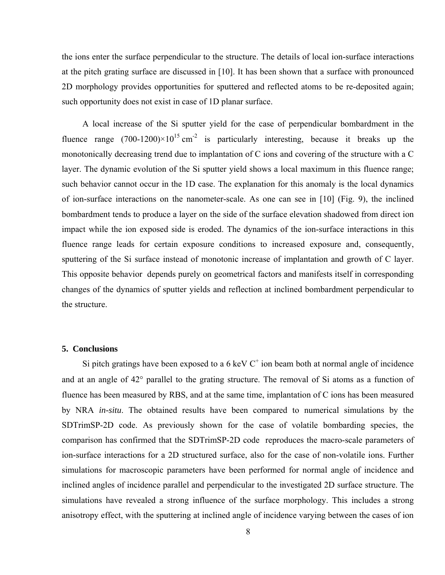the ions enter the surface perpendicular to the structure. The details of local ion-surface interactions at the pitch grating surface are discussed in [10]. It has been shown that a surface with pronounced 2D morphology provides opportunities for sputtered and reflected atoms to be re-deposited again; such opportunity does not exist in case of 1D planar surface.

A local increase of the Si sputter yield for the case of perpendicular bombardment in the fluence range  $(700-1200)\times10^{15}$  cm<sup>-2</sup> is particularly interesting, because it breaks up the monotonically decreasing trend due to implantation of C ions and covering of the structure with a C layer. The dynamic evolution of the Si sputter yield shows a local maximum in this fluence range; such behavior cannot occur in the 1D case. The explanation for this anomaly is the local dynamics of ion-surface interactions on the nanometer-scale. As one can see in [10] (Fig. 9), the inclined bombardment tends to produce a layer on the side of the surface elevation shadowed from direct ion impact while the ion exposed side is eroded. The dynamics of the ion-surface interactions in this fluence range leads for certain exposure conditions to increased exposure and, consequently, sputtering of the Si surface instead of monotonic increase of implantation and growth of C layer. This opposite behavior depends purely on geometrical factors and manifests itself in corresponding changes of the dynamics of sputter yields and reflection at inclined bombardment perpendicular to the structure.

## **5. Conclusions**

Si pitch gratings have been exposed to a 6 keV  $C^+$  ion beam both at normal angle of incidence and at an angle of 42° parallel to the grating structure. The removal of Si atoms as a function of fluence has been measured by RBS, and at the same time, implantation of C ions has been measured by NRA *in-situ*. The obtained results have been compared to numerical simulations by the SDTrimSP-2D code. As previously shown for the case of volatile bombarding species, the comparison has confirmed that the SDTrimSP-2D code reproduces the macro-scale parameters of ion-surface interactions for a 2D structured surface, also for the case of non-volatile ions. Further simulations for macroscopic parameters have been performed for normal angle of incidence and inclined angles of incidence parallel and perpendicular to the investigated 2D surface structure. The simulations have revealed a strong influence of the surface morphology. This includes a strong anisotropy effect, with the sputtering at inclined angle of incidence varying between the cases of ion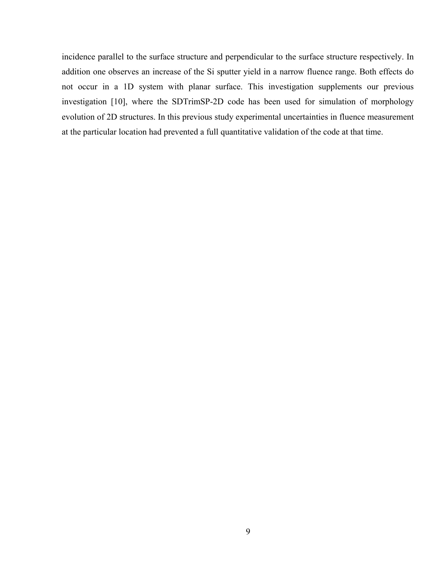incidence parallel to the surface structure and perpendicular to the surface structure respectively. In addition one observes an increase of the Si sputter yield in a narrow fluence range. Both effects do not occur in a 1D system with planar surface. This investigation supplements our previous investigation [10], where the SDTrimSP-2D code has been used for simulation of morphology evolution of 2D structures. In this previous study experimental uncertainties in fluence measurement at the particular location had prevented a full quantitative validation of the code at that time.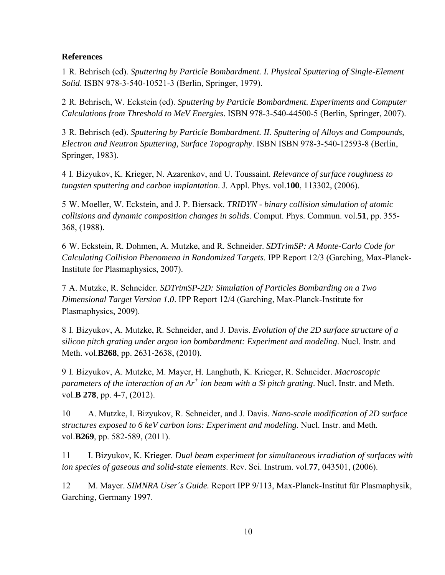# **References**

1 R. Behrisch (ed). *Sputtering by Particle Bombardment. I. Physical Sputtering of Single-Element Solid*. ISBN 978-3-540-10521-3 (Berlin, Springer, 1979).

2 R. Behrisch, W. Eckstein (ed). *Sputtering by Particle Bombardment. Experiments and Computer Calculations from Threshold to MeV Energies*. ISBN 978-3-540-44500-5 (Berlin, Springer, 2007).

3 R. Behrisch (ed). *Sputtering by Particle Bombardment. II. Sputtering of Alloys and Compounds, Electron and Neutron Sputtering, Surface Topography*. ISBN ISBN 978-3-540-12593-8 (Berlin, Springer, 1983).

4 I. Bizyukov, K. Krieger, N. Azarenkov, and U. Toussaint. *Relevance of surface roughness to tungsten sputtering and carbon implantation*. J. Appl. Phys. vol.**100**, 113302, (2006).

5 W. Moeller, W. Eckstein, and J. P. Biersack. *TRIDYN - binary collision simulation of atomic collisions and dynamic composition changes in solids*. Comput. Phys. Commun. vol.**51**, pp. 355- 368, (1988).

6 W. Eckstein, R. Dohmen, A. Mutzke, and R. Schneider. *SDTrimSP: A Monte-Carlo Code for Calculating Collision Phenomena in Randomized Targets*. IPP Report 12/3 (Garching, Max-Planck-Institute for Plasmaphysics, 2007).

7 A. Mutzke, R. Schneider. *SDTrimSP-2D: Simulation of Particles Bombarding on a Two Dimensional Target Version 1.0*. IPP Report 12/4 (Garching, Max-Planck-Institute for Plasmaphysics, 2009).

8 I. Bizyukov, A. Mutzke, R. Schneider, and J. Davis. *Evolution of the 2D surface structure of a silicon pitch grating under argon ion bombardment: Experiment and modeling*. Nucl. Instr. and Meth. vol.**B268**, pp. 2631-2638, (2010).

9 I. Bizyukov, A. Mutzke, M. Mayer, H. Langhuth, K. Krieger, R. Schneider. *Macroscopic parameters of the interaction of an Ar<sup>+</sup> ion beam with a Si pitch grating*. Nucl. Instr. and Meth. vol.**B 278**, pp. 4-7, (2012).

10 A. Mutzke, I. Bizyukov, R. Schneider, and J. Davis. *Nano-scale modification of 2D surface structures exposed to 6 keV carbon ions: Experiment and modeling*. Nucl. Instr. and Meth. vol.**B269**, pp. 582-589, (2011).

11 I. Bizyukov, K. Krieger. *Dual beam experiment for simultaneous irradiation of surfaces with ion species of gaseous and solid-state elements*. Rev. Sci. Instrum. vol.**77**, 043501, (2006).

12 M. Mayer. *SIMNRA User´s Guide.* Report IPP 9/113, Max-Planck-Institut für Plasmaphysik, Garching, Germany 1997.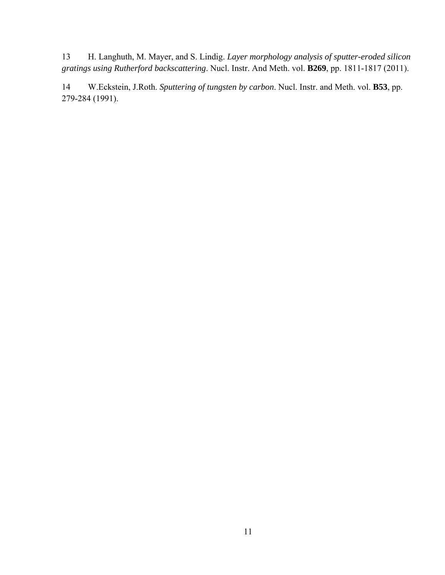13 H. Langhuth, M. Mayer, and S. Lindig. *Layer morphology analysis of sputter-eroded silicon gratings using Rutherford backscattering*. Nucl. Instr. And Meth. vol. **B269**, pp. 1811-1817 (2011).

14 W.Eckstein, J.Roth. *Sputtering of tungsten by carbon*. Nucl. Instr. and Meth. vol. **B53**, pp. 279-284 (1991).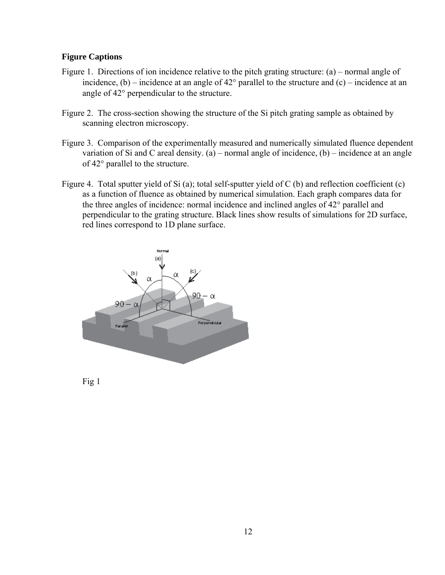# **Figure Captions**

- <span id="page-11-0"></span>Figure 1. Directions of ion incidence relative to the pitch grating structure: (a) – normal angle of incidence,  $(b)$  – incidence at an angle of 42 $\degree$  parallel to the structure and  $(c)$  – incidence at an angle of 42° perpendicular to the structure.
- <span id="page-11-1"></span>Figure 2. The cross-section showing the structure of the Si pitch grating sample as obtained by scanning electron microscopy.
- <span id="page-11-2"></span>Figure 3. Comparison of the experimentally measured and numerically simulated fluence dependent variation of Si and C areal density. (a) – normal angle of incidence,  $(b)$  – incidence at an angle of 42° parallel to the structure.
- <span id="page-11-3"></span>Figure 4. Total sputter yield of Si (a); total self-sputter yield of C (b) and reflection coefficient (c) as a function of fluence as obtained by numerical simulation. Each graph compares data for the three angles of incidence: normal incidence and inclined angles of 42° parallel and perpendicular to the grating structure. Black lines show results of simulations for 2D surface, red lines correspond to 1D plane surface.



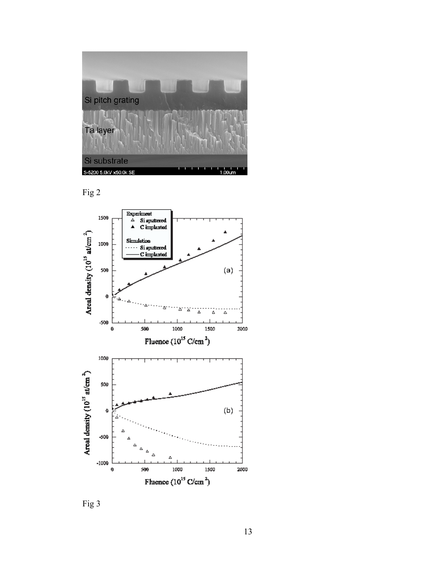





Fig 3